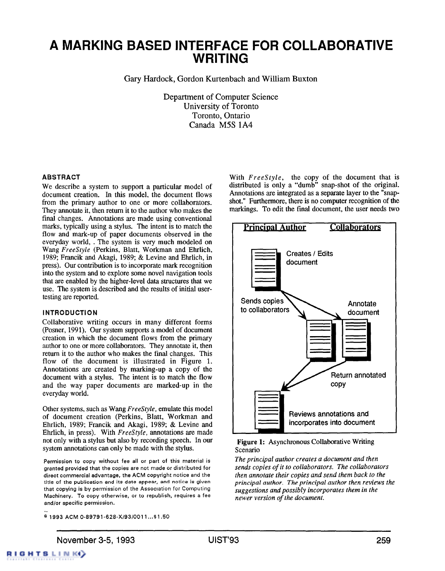# A MARKING BASED INTERFACE FOR COLLABORATIVE WRITING

Gary Hardock, Gordon Kurtenbach and William Buxton

Department of Computer Science University of Toronto Toronto, Ontario Canada M5S 1A4

#### ABSTRACT

We describe a system to support a particular model of document creation. In this model, the document flows from the primary author to one or more collaborators. They annotate it, then return it to the author who makes the final changes. Annotations are made using conventional marks, typically using a stylus. The intent is to match the flow and mark-up of paper documents observed in the everyday world, . The system is very much modeled on Wang FreeStyle (Perkins, Blatt, Workman and Ehrlich, 1989; Francik and Akagi, 1989; & Levine and Ehrlich, in press). Our contribution is to incorporate mark recognition into the system and to explore some novel navigation tools that are enabled by the higher-level data structures that we use. The system is described and the results of initial usertesting are reported.

## INTRODUCTION

Collaborative writing occurs in many different forms (Posner, 1991). Our system supports a model of document creation in which the document flows from the primary author to one or more collaborators. They annotate it, then return it to the author who makes the final changes, This flow of the document is illustrated in Figure 1. Annotations are created by marking-up a copy of the document with a stylus. The intent is to match the flow and the way paper documents are marked-up in the everyday world.

Other systems, such as Wang FreeStyle, emulate this model of document creation (Perkins, Blatt, Workman and Ehrlich, 1989; Francik and Akagi, 1989; & Levine and Ehrlich, in press). With FreeStyle, annotations are made not only with a stylus but also by recording speech. In our system annotations can only be made with the stylus.

Permission to copy without fee all or part of this material is granted provided that the copies are not made or distributed for direct commercial advantage, the ACM copyright notice and the title of the publication and its date appear, and notice is given that copying is by permission of the Association for Computing Machinery. To copy otherwise, or to republish, requires a fee and/or specific permission.

<sup>@</sup> 1993 ACM 0-89791-628-X/93/0011...\$1.50

With FreeStyle, the copy of the document that is distributed is only a "dumb" snap-shot of the original. Annotations are integrated as a separate layer to the "snapshot." Furthermore, there is no computer recognition of the markings. To edit the final document, the user needs two



#### Figure 1: Asynchronous Collaborative Writing Scenario

The principal author creates a document and then sends copies of it to collaborators. The collaborators then annotate their copies and send them back to the principal author. The principal author then reviews the suggestions and possibly incorporates them in the newer version of the document.

..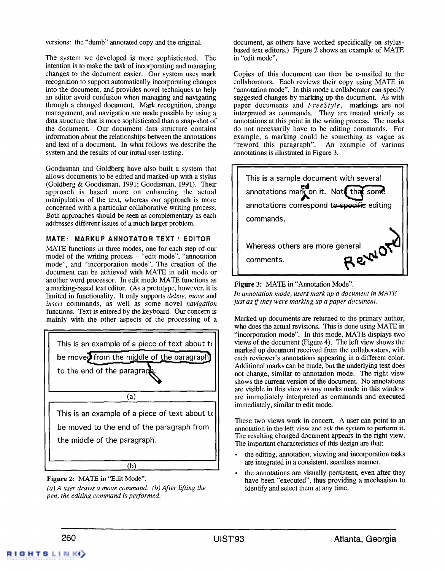versions: the "dumb" annotated copy and the original.

The system we developed is more sophisticated. The intention is to make the task of incorporating and managing changes to the document easier. Our system uses mark recognition to support automatically incorporating changes into the document, and provides novel techniques to help an editor avoid confusion when managing and navigating through a changed document. Mark recognition, change management, and navigation are made possible by using a data structure that is more sophisticated than a snap-shot of the document. Our document data structure contains information about the relationships between the annotations and text of a document. In what follows we describe the system and the results of our initial user-testing.

Goodisman and Goldberg have also built a system that allows documents to be edited and marked-up with a stylus (Goldberg & Goodisman, 1991; Goodisman, 1991). Their approach is based more on enhancing the actual manipulation of the text, whereas our approach is more concerned with a particular collaborative writing process. Both approaches should be seen as complementary as each addresses different issues of a much larger problem.

# MATE: MARKUP ANNOTATOR TEXT / EDITOR

MATE functions in three modes, one for each step of our model of the writing process – "edit mode", "annotation mode", and "incorporation mode". The creation of the document can be achieved with MATE in edit mode or another word processor. In edit mode MATE functions as a marking-based text editor. (As a prototype, however, it is limited in functionality. It only supports delete, move and insert commands, as well as some novel navigation functions. Text is entered by the keyboard. Our concern is mainly with the other aspects of the processing of a



Figure 2: MATE in "Edit Mode",

(a) A user draws a move command. (b) After lifting the pen, the editing command is performed.

document, as others have worked specifically on stylusbased text editors.) Figure 2 shows an example of MATE in "edit mode".

Copies of this document can then be e-mailed to the collaborators. Each reviews their copy using MATE in "annotation mode". In this mode a collaborator can specify suggested changes by marking up the document. As with paper documents and FreeStyle, markings are not interpreted as commands. They are treated strictly as annotations at this point in the writing process. The marks do not necessarily have to be editing commands. For example, a marking could be something as vague as "reword this paragraph". An example of various annotations is illustrated in Figure 3.



Figure 3: MATE in "Annotation Mode". In annotation mode, users murk up a document in MATE just as if they were marking up a paper document.

Marked up documents are returned to the primary author, who does the actual revisions. This is done using MATE in "incorporation mode". In this mode, MATE displays two views of the document (Figure 4). The left view shows the marked up document received from the collaborators, with each reviewer's annotations appearing in a different color. Additional marks can be made, but the underlying text does not change, similar to annotation mode. The right view shows the current version of the document. No annotations are visible in this view as any marks made in this window are immediately interpreted as commands and executed immediately, similar to edit mode.

These two views work in concert. A user can point to an annotation in the left view and ask the system to perform it. The resulting changed document appears in the right view. The important characteristics of this design are that:

- the editing, annotation, viewing and incorporation tasks are integrated in a consistent, seamless manner.
- the annotations are visually persistent, even after they have been "executed", thus providing a mechanism to identify and select them at any time.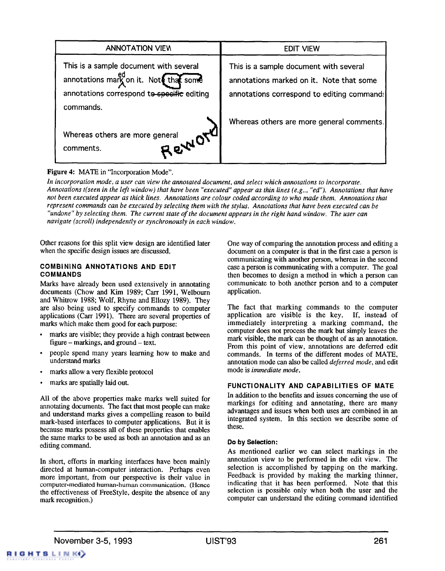| <b>ANNOTATION VIEW</b>                                                                                                                      | <b>EDIT VIEW</b>                                                                                                                 |  |
|---------------------------------------------------------------------------------------------------------------------------------------------|----------------------------------------------------------------------------------------------------------------------------------|--|
| This is a sample document with several<br>annotations mark on it. Note that some<br>annotations correspond to specific editing<br>commands. | This is a sample document with several<br>annotations marked on it. Note that some<br>annotations correspond to editing command: |  |
| Whereas others are more general<br>Revuon<br>comments.                                                                                      | Whereas others are more general comments.                                                                                        |  |

# Figure 4: MATE in "Incorporation Mode".

In incorporation mode, a user can view the annotated document, and select which annotations to incorporate. Annotations t(seen in the left window) that have been "executed" appear as thin lines (e.g.., "cd"). Annotations that have not been executed appear as thick lines. Annotations are colour coded according to who made them. Annotations that represent commands can be executed by selecting them with the stylus. Annotations that have been executed can be "undone" by selecting them. The current state of the document appears in the right hand window. The user can navigate (scroll) independently or synchronously in each window.

Other reasons for this split view design are identified later when the specific design issues are discussed.

#### COMBINING ANNOTATIONS AND EDIT COMMANDS

Marks have already been used extensively in annotating documents (Chow and Kim 1989; Carr 1991, Welboum and Whitrow 1988; Wolf, Rhyne and Ellozy 1989). They are also being used to specify commands to computer applications (Carr 1991). There are several properties of marks which make them good for each purpose

- marks are visible; they provide a high contrast between figure – markings, and ground – text.
- people spend many years learning how to make and understand marks
- marks allow a very flexible protocol
- marks are spatially laid out.

All of the above properties make marks well suited for annotating documents. The fact that most people can make and understand marks gives a compelling reason to build mark-based interfaces to computer applications. But it is because marks possess all of these properties that enables the same marks to be used as both an annotation and as an editing command.

In short, efforts in marking interfaces have been mainly directed at human-computer interaction. Perhaps even more important, from our perspective is their value in computer-mediated human-human communication. (Hence the effectiveness of FreeStyle, despite the absence of any mark recognition.)

One way of comparing the annotation process and editing a document on a computer is that in the first case a person is communicating with another person, whereas in the second case a person is communicating with a computer. The goal then becomes to design a method in which a person can communicate to both another person and to a computer application,

The fact that marking commands to the computer application are visible is the key. If, instead of immediately interpreting a marking command, the computer does not process the mark but simply leaves the mark visible, the mark can be thought of as an annotation. From this point of view, annotations are deferred edit commands. In terms of the different modes of MATE, annotation mode can also be called deferred mode, and edit mode is immediate mode.

## FUNCTIONALITY AND CAPABILITIES OF MATE

In addition to the benefits and issues concerning the use of markings for editing and annotating, there are many advantages and issues when both uses are combined in an integrated system. In this section we describe some of these.

#### Do by Selection:

As mentioned earlier we can select markings in the annotation view to be performed in the edit view. The selection is accomplished by tapping on the marking. Feedback is provided by making the marking thinner, indicating that it has been performed. Note that this selection is possible only when both the user and the computer can understand the editing command identified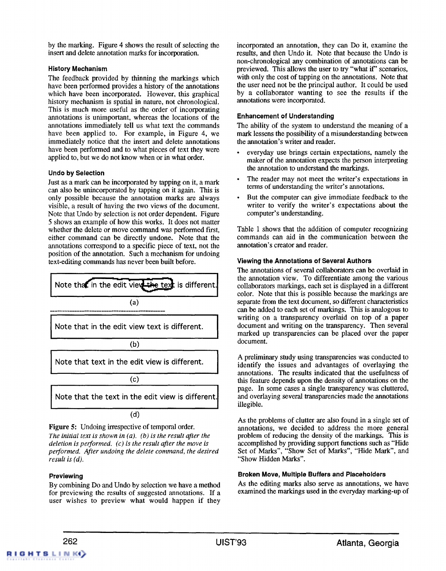by the marking. Figure 4 shows the result of selecting the insert and delete annotation marks for incorporation.

## History Mechanism

The feedback provided by thinning the markings which have been performed provides a history of the annotations which have been incorporated. However, this graphical history mechanism is spatial in nature, not chronological. This is much more useful as the order of incorporating annotations is unimportant, whereas the locations of the annotations immediately tell us what text the commands have been applied to. For example, in Figure 4, we immediately notice that the insert and delete annotations have been performed and to what pieces of text they were applied to, but we do not know when or in what order,

## Undo by Selection

Just as a mark can be incorporated by tapping on it, a mark can also be unincorporated by tapping on it again. This is only possible because the annotation mmks are always visible, a result of having the two views of the document. Note that Undo by selection is not order dependent. Figure 5 shows an example of how this works. It does not matter whether the delete or move command was performed first, either command can be directly undone. Note that the annotations correspond to a specific piece of text, not the position of the annotation. Such a mechanism for undoing text-editing commands has never been built before.



Figure 5: Undoing irrespective of temporal order. The initial text is shown in  $(a)$ . (b) is the result after the deletion is performed.  $(c)$  is the result after the move is performed. After undoing the delete command, the desired result is (d).

# **Previewing**

By combining Do and Undo by selection we have a method for previewing the results of suggested annotations. If a user wishes to preview what would happen if they incorporated an annotation, they can Do it, examine the results, and then Undo it. Note that because the Undo is non-chronological any combination of annotations can be previewed. This allows the user to try "what if' scenarios, with only the cost of tapping on the annotations. Note that the user need not be the principal author. It could be used by a collaborator wanting to see the results if the annotations were incorporated.

## Enhancement of Understanding

The ability of the system to understand the meaning of a mark lessens the possibility of a misunderstanding between the annotation's writer and reader.

- . everyday use brings certain expectations, namely the maker of the annotation expects the person interpreting the annotation to understand the makings.
- . The reader may not meet the writer's expectations in terms of understanding the writer's annotations.
- . But the computer can give immediate feedback to the writer to verify the writer's expectations about the computer's understanding.

Table 1 shows that the addition of computer recognizing commands can aid in the communication between the annotation's creator and reader.

## Viewing the Annotations of Several Authors

The annotations of several collaborators can be overlaid in the annotation view. To differentiate among the various collaborators markings, each set is displayed in a different color. Note that this is possible because the markings are separate from the text document, so different characteristics can be added to each set of markings. This is analogous to writing on a transparency overlaid on top of a paper document and writing on the transparency. Then several marked up transparencies can be placed over the paper document.

A preliminary study using transparencies was conducted to identify the issues and advantages of overlaying the annotations. The results indicated that the usefulness of this feature depends upon the density of annotations on the page. In some cases a single transparency was cluttered, and overlaying several transparencies made the annotations illegible.

As the problems of clutter are also found in a single set of annotations, we decided to address the more general problem of reducing the density of the markings. This is accomplished by providing support functions such as "Hide Set of Marks", "Show Set of Marks", "Hide Mark", and "Show Hidden Marks".

# Broken Move, Multiple Buffers and Placeholders

As the editing marks also serve as annotations, we have examined the markings used in the everyday marking-up of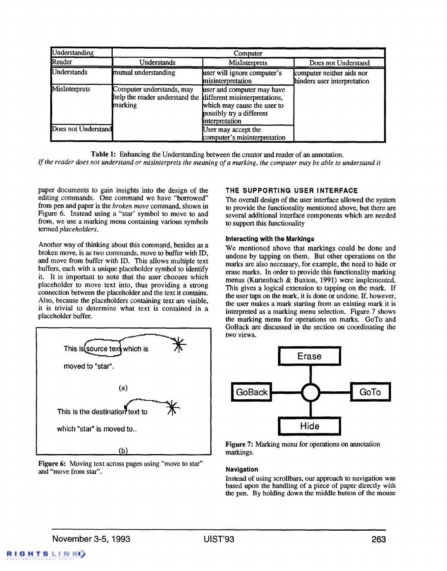| Understanding       | Computer                                                                                             |                                                                                                         |                                                          |
|---------------------|------------------------------------------------------------------------------------------------------|---------------------------------------------------------------------------------------------------------|----------------------------------------------------------|
| Reader              | Understands                                                                                          | <b>MisInterprets</b>                                                                                    | Does not Understand                                      |
| Understands         | mutual understanding                                                                                 | user will ignore computer's<br>misinterpretation                                                        | computer neither aids nor<br>hinders user interpretation |
| MisInterprets       | Computer understands, may<br>help the reader understand the different misinterpretations,<br>marking | user and computer may have<br>which may cause the user to<br>possibly try a different<br>interpretation |                                                          |
| Does not Understand |                                                                                                      | User may accept the<br>computer's misinterpretation                                                     |                                                          |

Table 1: Enhancing the Understanding between the creator and reader of an annotation. If the reader does not understand or misinterprets the meaning of a marking, the computer maybe able to understand it

paper documents to gain insights into the design of the editing commands. One command we have "borrowed" from pen and paper is the broken move command, shown in Figure 6. Instead using a "star' symbol to move to and from, we use a marking menu containing various symbols termed placeholders.

Another way of thinking about this command, besides as a broken move, is as two commands, move to buffer with ID, and move from buffer with ID. This allows multiple text buffers, each with a unique placeholder symbol to identify it, It is important to note that the user chooses which placeholder to move text into, thus providing a strong connection between the placeholder and the text it contains. Also, because the placeholders containing text are visible, it is trivial to determine what text is contained in a placeholder buffer.



Figure 6: Moving text across pages using "move to star" and "move from star".

## THE SUPPORTING USER INTERFACE

The overall design of the user interface allowed the system to provide the functionality mentioned above, but there are several additional interface components which are needed to support this functionality

#### Interacting with the Markings

We mentioned above that markings could be done and undone by tapping on them. But other operations on the marks are also necessary, for example, the need to hide or erase marks. In order to provide this functionality marking menus (Kurtenbach & Buxlon, 1991) were implemented. This gives a logical extension to tapping on the mark. If the user taps on the mark, it is done or undone. If, however, the user makes a mark starting from an existing mark it is interpreted as a marking menu selection. Figure 7 shows the marking menu for operations on marks. GoTo and GoBack are discussed in the section on coordinating the two views.



markings.

#### Navigation

Instead of using scrollbars, our approach to navigation was based upon the handling of a piece of paper directly with the pen. By holding down the middle button of the mouse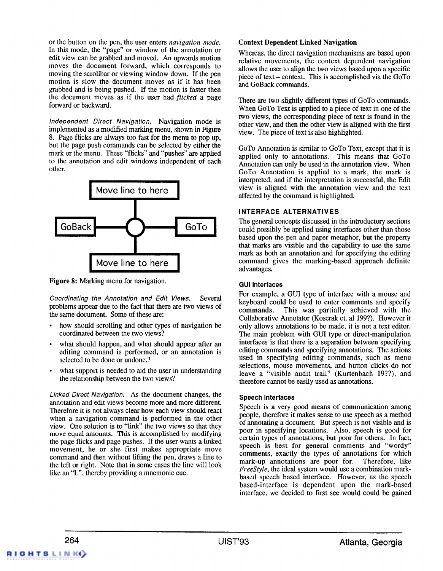or the button on the pen, the user enters navigation mode. In this mode, the "page" or window of the annotation or edit view can be grabbed and moved. An upwards motion moves the document forward, which corresponds to moving the scrollbar or viewing window down. If the pen motion is slow the document moves as if it has been grabbed and is being pushed. If the motion is faster then the document moves as if the user had *flicked* a page forward or backward.

Independent Direct Navigation. Navigation mode is implemented as a modified marking menu, shown in Figure 8. Page flicks are always too fast for the menu to pop up, but the page push commands can be selected by either the mark or the menu. These "flicks" and "pushes" are applied to the annotation and edit windows independent of each other.



Figure 8: Marking menu for navigation.

Coordinating the Annotation and Edit Views. Several problems appear due to the fact that there are two views of the same document. Some of these are

- how should scrolling and other types of navigation be coordinated between the two views?
- what should happen, and what should appear after an editing command is performed, or an annotation is selected to be done or undone.?
- what support is needed to aid the user in understanding the relationship between the two views?

Linked Direct Navigation. As the document changes, the annotation and edit views become more and more different. Therefore it is not always clear how each view should react when a navigation command is performed in the other view. One solution is to "link" the two views so that they move equat amounts. This is accomplished by modifying the page flicks and page pushes. If the user wants a linked movement, he or she first makes appropriate move command and then without lifting the pen, draws a line to the left or right. Note that in some cases the line will look like an "L", thereby providing a mnemonic cue.

## Context Dependent Linked Navigation

Whereas, the direct navigation mechanisms are based upon relative movements, the context dependent navigation atlows the user to align the two views based upon a specific piece of text – context. This is accomplished via the GoTo and GoBack commands.

There are two slightly different types of GoTo commands. When GoTo Text is applied to a piece of text in one of the two views, the corresponding piece of text is found in the other view, and then the other view is aligned with the first view. The piece of text is also highlighted.

GoTo Annotation is similar to GoTo Text, except that it is applied only to annotations. This means that GoTo Annotation can only be used in the annotation view. When GoTo Annotation is applied to a mark, the mark is interpreted, and if the interpretation is successful, the Edit view is atigned with the annotation view and the text affected by the command is highlighted.

# INTERFACE ALTERNATIVES

The general concepts discussed in the introductory sections could possibly be applied using interfaces other than those based upon the pen and paper metaphor, but the property that marks are visible and the capability to use the same mark as both an annotation and for specifying the editing command gives the marking-based approach definite advantages.

## GUI Interfaces

For example, a GUI type of interface with a mouse and keyboard could be used to enter comments and specify commands. This was partially achieved with the Collaborative Annotator (Koserak et. al 199?). However it only allows annotations to be made, it is not a text editor. The main problem with GUI type or direct-manipulation interfaces is that there is a separation between specifying editing commands and specifying annotations. The actions used in specifying editing commands, such as menu selections, mouse movements, and button clicks do not leave a "visible audit trail" (Kurtenbach 19??), and therefore cannot be easily used as annotations.

#### Speech Interfaces

Speech is a very good means of communication among people, therefore it makes sense to use speech as a method of annotating a document. But speech is not visible and is poor in specifying locations. Also, speech is good for certain types of annotations, but poor for others. In fact, speech is best for general comments and "wordy" comments, exactly the types of annotations for which mark-up annotations are poor for. Therefore, like FreeStyle, the ideal system would use a combination markbased speech based interface. However, as the speech based-interface is dependent upon the mark-based interface, we decided to first see would could be gained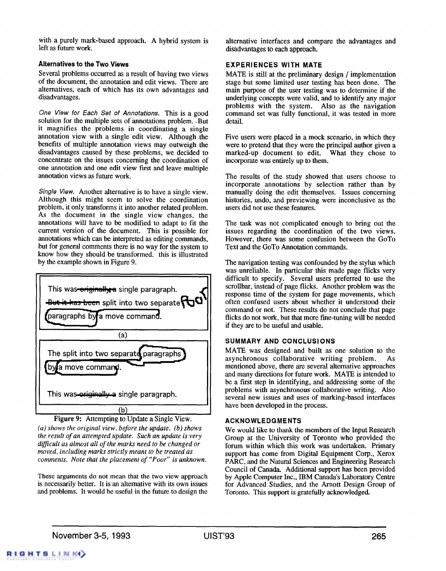with a purely mark-based approach. A hybrid system is left as future work.

## Alternatives to the Two Views

Several problems occurred as a result of having two views of the document, the annotation and edit views. There are alternatives, each of which has its own advantages and disadvantages.

One View for Each Set of Annotations. This is a good solution for the multiple sets of annotations problem. But it magnifies the problems in coordinating a single annotation view with a single edit view. Although the benefits of multiple annotation views may outweigh the disadvantages caused by these problems, we decided to concentrate on the issues concerning the coordination of one annotation and one edit view first and leave multiple annotation views as future work.

Single View. Another alternative is to have a single view. Although this might seem to solve the coordination problem, it only transforms it into another related problem. As the document in the single view changes, the annotations will have to be modified to adapt to fit the current version of the document. This is possible for annotations which can be interpreted as editing commands, but for general comments there is no way for the system to know how they should be transformed. this is illustrated by the example shown in Figure 9.



Figure 9: Attempting to Update a Single View.

 $(a)$  shows the original view, before the update. (b) shows the result of an attempted update. Such an update is very difficult as almost all of the marks need to be changed or moved, including marks strictly meant to be treated as comments. Note that the placement of "Poor" is unknown.

These aguments do not mean that the two view approach is necessarily better. It is an alternative with its own issues and problems. It would be useful in the fiture to design the alternative interfaces and compare the advantages and disadvantages to each approach.

## EXPERIENCES WITH MATE

MATE is still at the preliminary design / implementation stage but some limited user testing has been done. The main purpose of the user testing was to determine if the underlying concepts were valid, and to identify any major problems with the system. Also as the navigation command set was fully functional, it was tested in more detail.

Five users were placed in a mock scenario, in which they were to pretend that they were the principal author given a marked-up document to edit. What they chose to marked-up document to edit. incorporate was entirely up to them.

The results of the study showed that users choose to incorporate annotations by selection rather than by manuatly doing the edit themselves. Issues concerning histories, undo, and previewing were inconclusive as the users did not use these features.

The task was not complicated enough to bring out the issues regarding the coordination of the two views. However, there was some confusion between the GoTo Text and the GoTo Annotation commands.

The navigation testing was confounded by the stylus which was unreliable. In particular this made page flicks very difficult to specify. Several users preferred to use the scrollbar, instead of page flicks. Another problem was the response time of the system for page movements, which often confused users about whether it understood their command or not. These results do not conclude that page flicks do not work, but that more fine-tuning will be needed if they are to be useful and usable.

# SUMMARY AND CONCLUSIONS

MATE was designed and built as one solution to the asynchronous collaborative writing problem. As mentioned above, there are several alternative approaches and many directions for future work. MATE is intended to be a first step in identifying, and addressing some of the problems with asynchronous collaborative writing. Atso several new issues and uses of marking-based interfaces have been developed in the process.

## ACKNOWLEDGMENTS

We would like to thank the members of the Input Research Group at the University of Toronto who provided the forum within which this work was undertaken. Primary support has come from Digital Equipment Corp., Xerox PARC, and the Natural Sciences and Engineering Research Council of Canada. Additional support has been provided by Apple Computer Inc., IBM Canada's Laboratory Centre for Advanced Studies, and the Amott Design Group of Toronto. This support is gratefidly acknowledged.